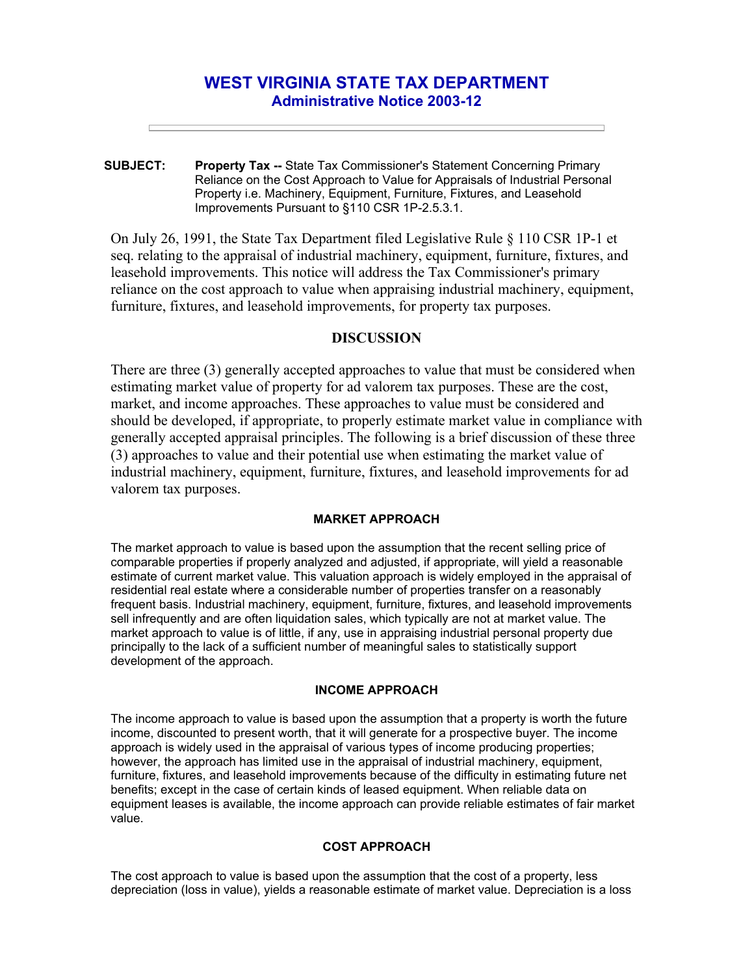# **WEST VIRGINIA STATE TAX DEPARTMENT Administrative Notice 2003-12**

**SUBJECT: Property Tax --** State Tax Commissioner's Statement Concerning Primary Reliance on the Cost Approach to Value for Appraisals of Industrial Personal Property i.e. Machinery, Equipment, Furniture, Fixtures, and Leasehold Improvements Pursuant to §110 CSR 1P-2.5.3.1.

On July 26, 1991, the State Tax Department filed Legislative Rule § 110 CSR 1P-1 et seq. relating to the appraisal of industrial machinery, equipment, furniture, fixtures, and leasehold improvements. This notice will address the Tax Commissioner's primary reliance on the cost approach to value when appraising industrial machinery, equipment, furniture, fixtures, and leasehold improvements, for property tax purposes.

## **DISCUSSION**

There are three (3) generally accepted approaches to value that must be considered when estimating market value of property for ad valorem tax purposes. These are the cost, market, and income approaches. These approaches to value must be considered and should be developed, if appropriate, to properly estimate market value in compliance with generally accepted appraisal principles. The following is a brief discussion of these three (3) approaches to value and their potential use when estimating the market value of industrial machinery, equipment, furniture, fixtures, and leasehold improvements for ad valorem tax purposes.

#### **MARKET APPROACH**

The market approach to value is based upon the assumption that the recent selling price of comparable properties if properly analyzed and adjusted, if appropriate, will yield a reasonable estimate of current market value. This valuation approach is widely employed in the appraisal of residential real estate where a considerable number of properties transfer on a reasonably frequent basis. Industrial machinery, equipment, furniture, fixtures, and leasehold improvements sell infrequently and are often liquidation sales, which typically are not at market value. The market approach to value is of little, if any, use in appraising industrial personal property due principally to the lack of a sufficient number of meaningful sales to statistically support development of the approach.

#### **INCOME APPROACH**

The income approach to value is based upon the assumption that a property is worth the future income, discounted to present worth, that it will generate for a prospective buyer. The income approach is widely used in the appraisal of various types of income producing properties; however, the approach has limited use in the appraisal of industrial machinery, equipment, furniture, fixtures, and leasehold improvements because of the difficulty in estimating future net benefits; except in the case of certain kinds of leased equipment. When reliable data on equipment leases is available, the income approach can provide reliable estimates of fair market value.

### **COST APPROACH**

The cost approach to value is based upon the assumption that the cost of a property, less depreciation (loss in value), yields a reasonable estimate of market value. Depreciation is a loss